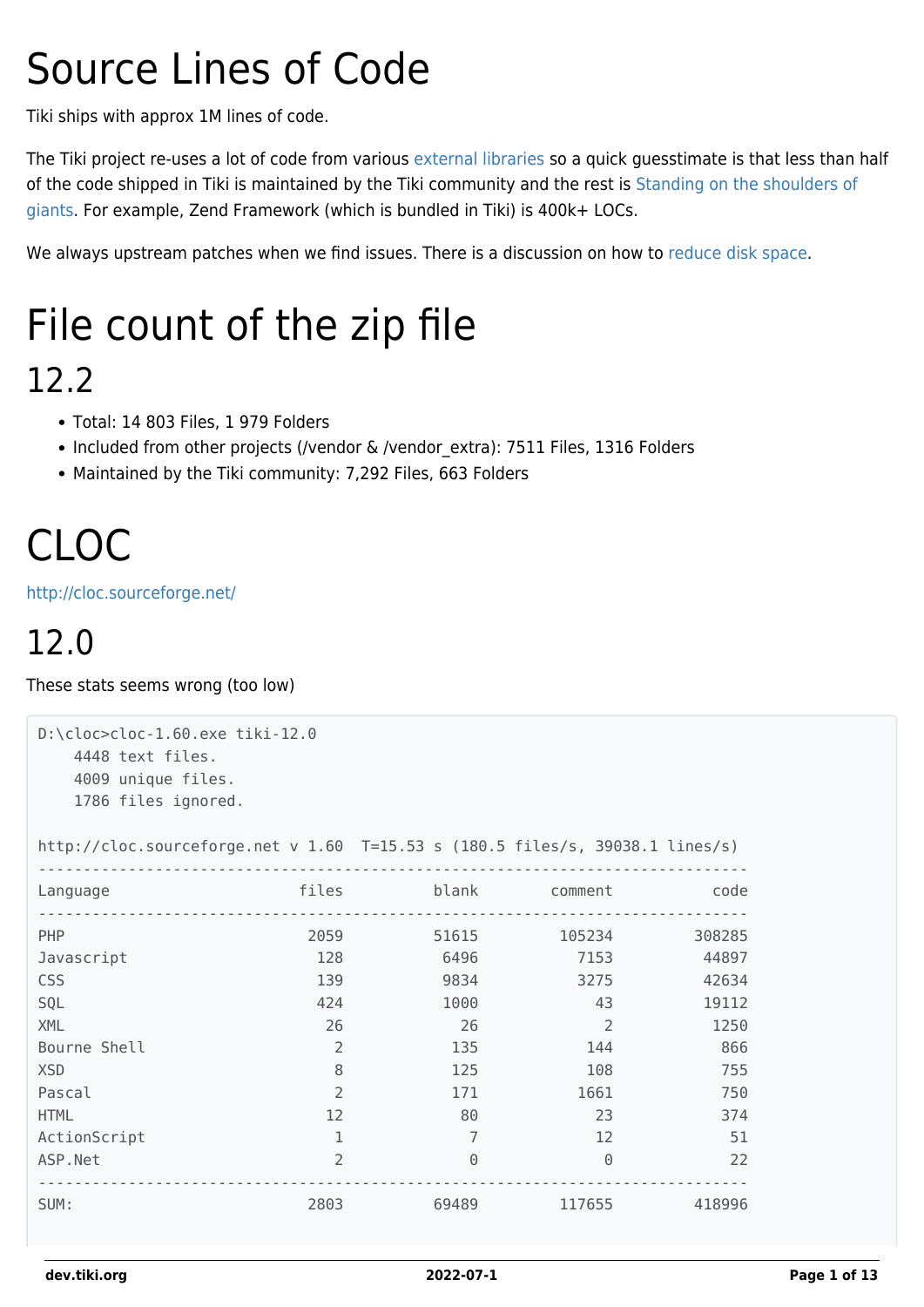# Source Lines of Code

Tiki ships with approx 1M lines of code.

The Tiki project re-uses a lot of code from various [external libraries](https://dev.tiki.org/External-Libraries) so a quick guesstimate is that less than half of the code shipped in Tiki is maintained by the Tiki community and the rest is [Standing on the shoulders of](http://en.wikipedia.org/wiki/Standing_on_the_shoulders_of_giants) [giants.](http://en.wikipedia.org/wiki/Standing_on_the_shoulders_of_giants) For example, Zend Framework (which is bundled in Tiki) is 400k+ LOCs.

We always upstream patches when we find issues. There is a discussion on how to [reduce disk space](https://dev.tiki.org/Reduce-disk-space).

# File count of the zip file

#### 12.2

- Total: 14 803 Files, 1 979 Folders
- Included from other projects (/vendor & /vendor extra): 7511 Files, 1316 Folders
- Maintained by the Tiki community: 7,292 Files, 663 Folders

# CLOC

<http://cloc.sourceforge.net/>

### 12.0

These stats seems wrong (too low)

```
D:\cloc>cloc-1.60.exe tiki-12.0
  4448 text files.
   4009 unique files.
   1786 files ignored.
http://cloc.sourceforge.net v 1.60 T=15.53 s (180.5 files/s, 39038.1 lines/s)
-------------------------------------------------------------------------------
Language files blank comment code
 -------------------------------------------------------------------------------
PHP 2059 51615 105234 308285
Javascript 128 6496 7153 44897
CSS 139 9834 3275 42634
SQL 424 1000 43 19112
XML 26 26 26 2 1250
Bourne Shell 2 135 144 866
XSD 8 125 108 755
Pascal 2 171 1661 750
HTML 12 80 23 374
ActionScript 1 1 7 12 51
ASP.Net 2 0 0 22
-------------------------------------------------------------------------------
SUM: 2803 69489 117655 418996
```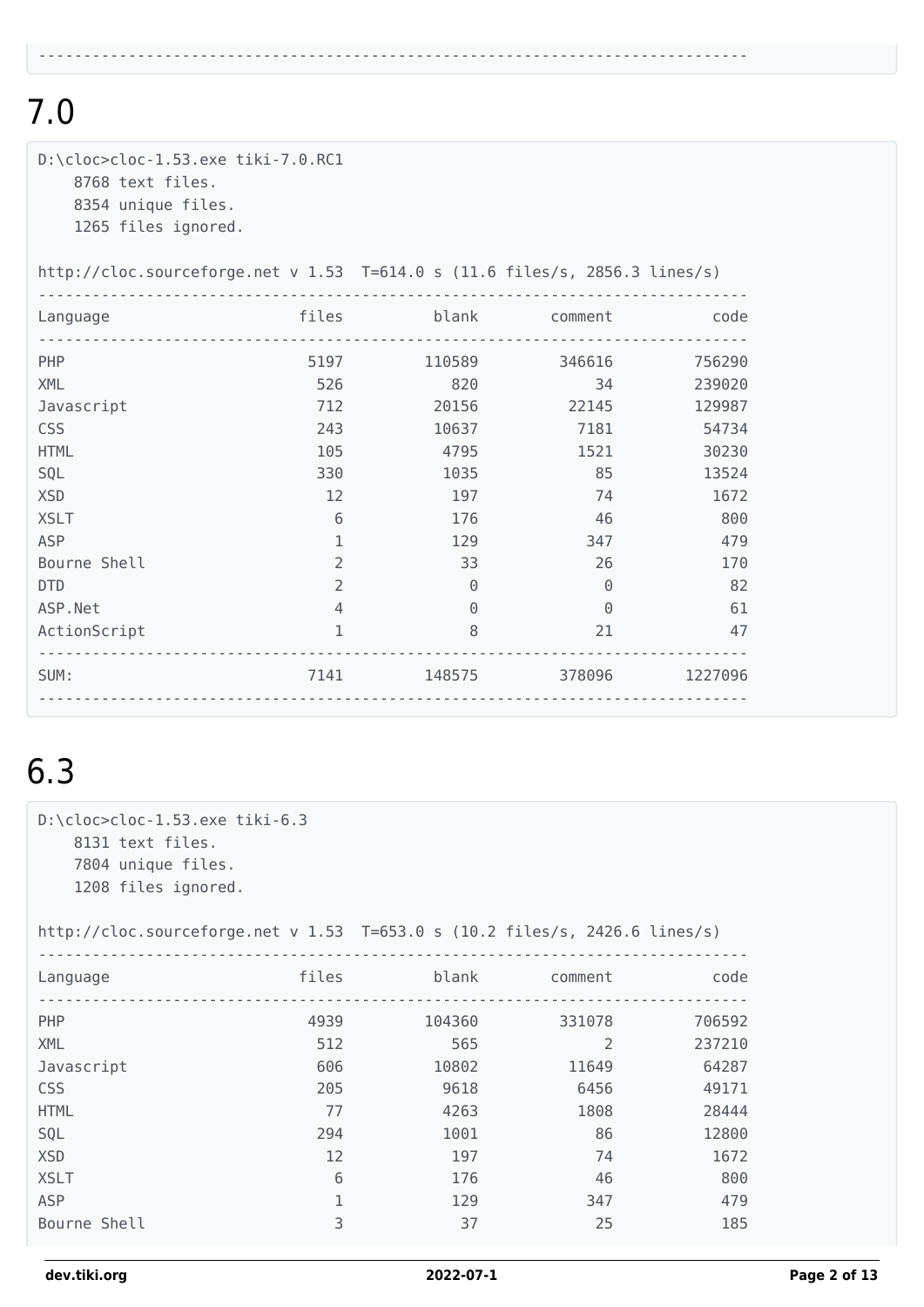| D:\cloc>cloc-1.53.exe tiki-7.0.RC1<br>8768 text files.<br>8354 unique files.<br>1265 files ignored. |                |                    |               |         |  |
|-----------------------------------------------------------------------------------------------------|----------------|--------------------|---------------|---------|--|
| http://cloc.sourceforge.net v $1.53$ T=614.0 s (11.6 files/s, 2856.3 lines/s)                       |                |                    |               |         |  |
| Language                                                                                            | <i>files</i>   |                    | blank comment | code    |  |
| PHP                                                                                                 |                | 5197<br>110589     | 346616        | 756290  |  |
| <b>XML</b>                                                                                          | 526            | 820                | 34            | 239020  |  |
| Javascript                                                                                          | 712            | 20156 70           | 22145         | 129987  |  |
| <b>CSS</b>                                                                                          | 243            | 10637              | 7181          | 54734   |  |
| <b>HTML</b>                                                                                         | 105            | 4795               | 1521          | 30230   |  |
| SQL                                                                                                 | 330            | 1035               | 85            | 13524   |  |
| <b>XSD</b>                                                                                          | 12             | 197                | 74            | 1672    |  |
| <b>XSLT</b>                                                                                         | 6              | 176                | 46            | 800     |  |
| <b>ASP</b>                                                                                          | 1              | 129                | 347           | 479     |  |
| Bourne Shell                                                                                        | $\overline{2}$ | 33                 | 26            | 170     |  |
| <b>DTD</b>                                                                                          | $\overline{2}$ | $\Theta$           | $\Theta$      | 82      |  |
| ASP.Net                                                                                             | $\overline{4}$ | $\Theta$           | $\Theta$      | 61      |  |
| ActionScript                                                                                        | 1              | 8                  | 21            | 47      |  |
| SUM:                                                                                                |                | 7141 148575 378096 |               | 1227096 |  |

-------------------------------------------------------------------------------

### 6.3

D:\cloc>cloc-1.53.exe tiki-6.3 8131 text files. 7804 unique files. 1208 files ignored.

http://cloc.sourceforge.net v 1.53 T=653.0 s (10.2 files/s, 2426.6 lines/s)

| Language     | files | blank  | comment        | code   |
|--------------|-------|--------|----------------|--------|
| PHP          | 4939  | 104360 | 331078         | 706592 |
| <b>XML</b>   | 512   | 565    | $\overline{2}$ | 237210 |
| Javascript   | 606   | 10802  | 11649          | 64287  |
| <b>CSS</b>   | 205   | 9618   | 6456           | 49171  |
| <b>HTML</b>  | 77    | 4263   | 1808           | 28444  |
| SQL          | 294   | 1001   | 86             | 12800  |
| <b>XSD</b>   | 12    | 197    | 74             | 1672   |
| <b>XSLT</b>  | 6     | 176    | 46             | 800    |
| <b>ASP</b>   | 1     | 129    | 347            | 479    |
| Bourne Shell | 3     | 37     | 25             | 185    |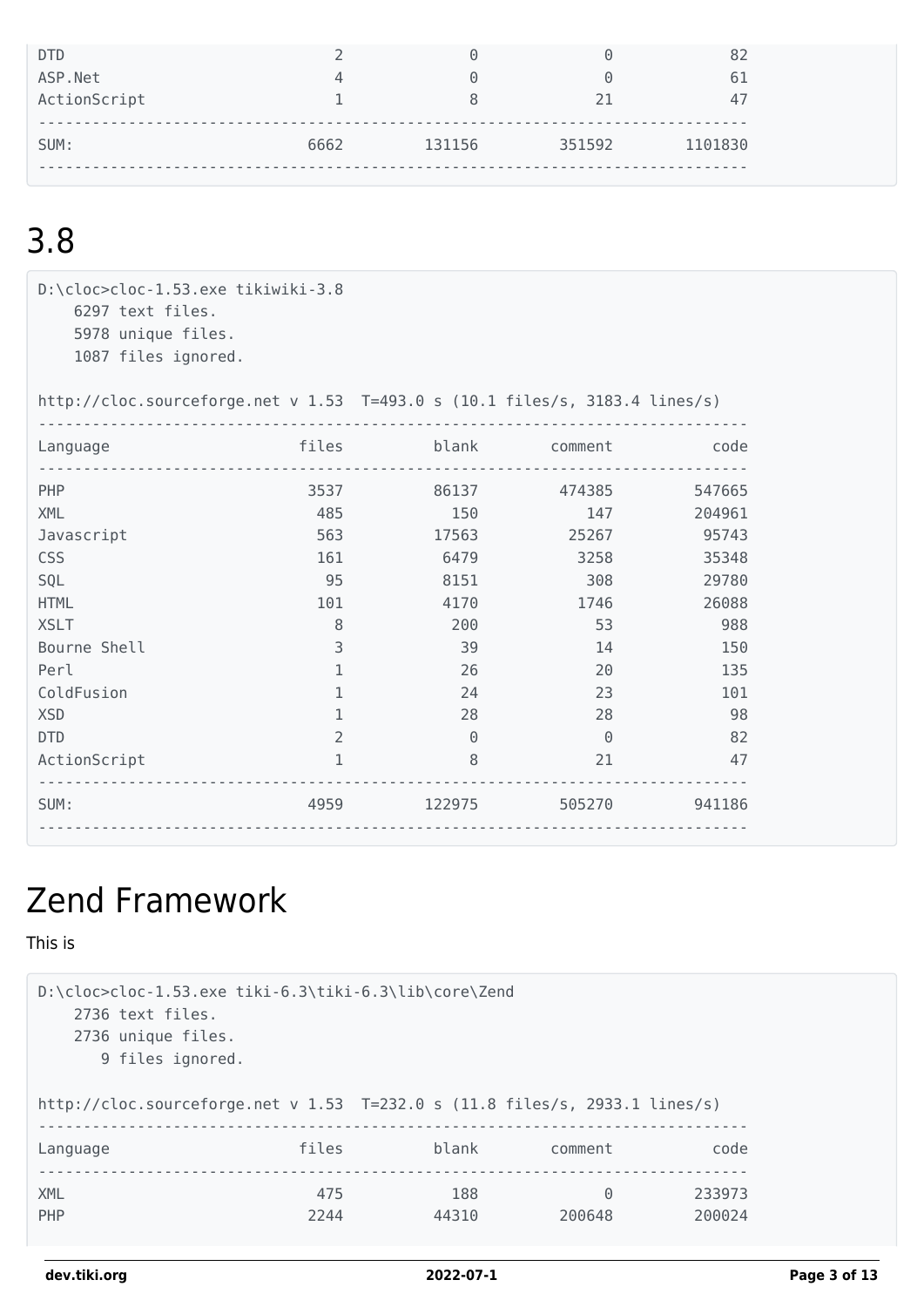| DTD          |      | $\Theta$               | $\left(\cdot\right)$ |         |
|--------------|------|------------------------|----------------------|---------|
| ASP.Net      | Д    | $\left( \cdot \right)$ | $(\cdot)$            |         |
| ActionScript |      | 8                      | 21                   |         |
| SUM:         | 6662 | 131156                 | 351592               | 1101830 |

D:\cloc>cloc-1.53.exe tikiwiki-3.8 6297 text files. 5978 unique files. 1087 files ignored.

http://cloc.sourceforge.net v 1.53 T=493.0 s (10.1 files/s, 3183.4 lines/s)

| Language     | files          | blank    | comment  | code   |
|--------------|----------------|----------|----------|--------|
| <b>PHP</b>   | 3537           | 86137    | 474385   | 547665 |
| <b>XML</b>   | 485            | 150      | 147      | 204961 |
| Javascript   | 563            | 17563    | 25267    | 95743  |
| CSS          | 161            | 6479     | 3258     | 35348  |
| SQL          | 95             | 8151     | 308      | 29780  |
| <b>HTML</b>  | 101            | 4170     | 1746     | 26088  |
| <b>XSLT</b>  | 8              | 200      | 53       | 988    |
| Bourne Shell | 3              | 39       | 14       | 150    |
| Perl         |                | 26       | 20       | 135    |
| ColdFusion   |                | 24       | 23       | 101    |
| <b>XSD</b>   |                | 28       | 28       | 98     |
| <b>DTD</b>   | $\overline{2}$ | $\Theta$ | $\Theta$ | 82     |
| ActionScript |                | 8        | 21       | 47     |
| SUM:         | 4959           | 122975   | 505270   | 941186 |

### Zend Framework

This is

```
D:\cloc>cloc-1.53.exe tiki-6.3\tiki-6.3\lib\core\Zend
   2736 text files.
    2736 unique files.
      9 files ignored.
http://cloc.sourceforge.net v 1.53 T=232.0 s (11.8 files/s, 2933.1 lines/s)
-------------------------------------------------------------------------------
Language files blank comment code
-------------------------------------------------------------------------------
XML 475 188 0 233973
PHP 2244 2244 44310 200648 200024
```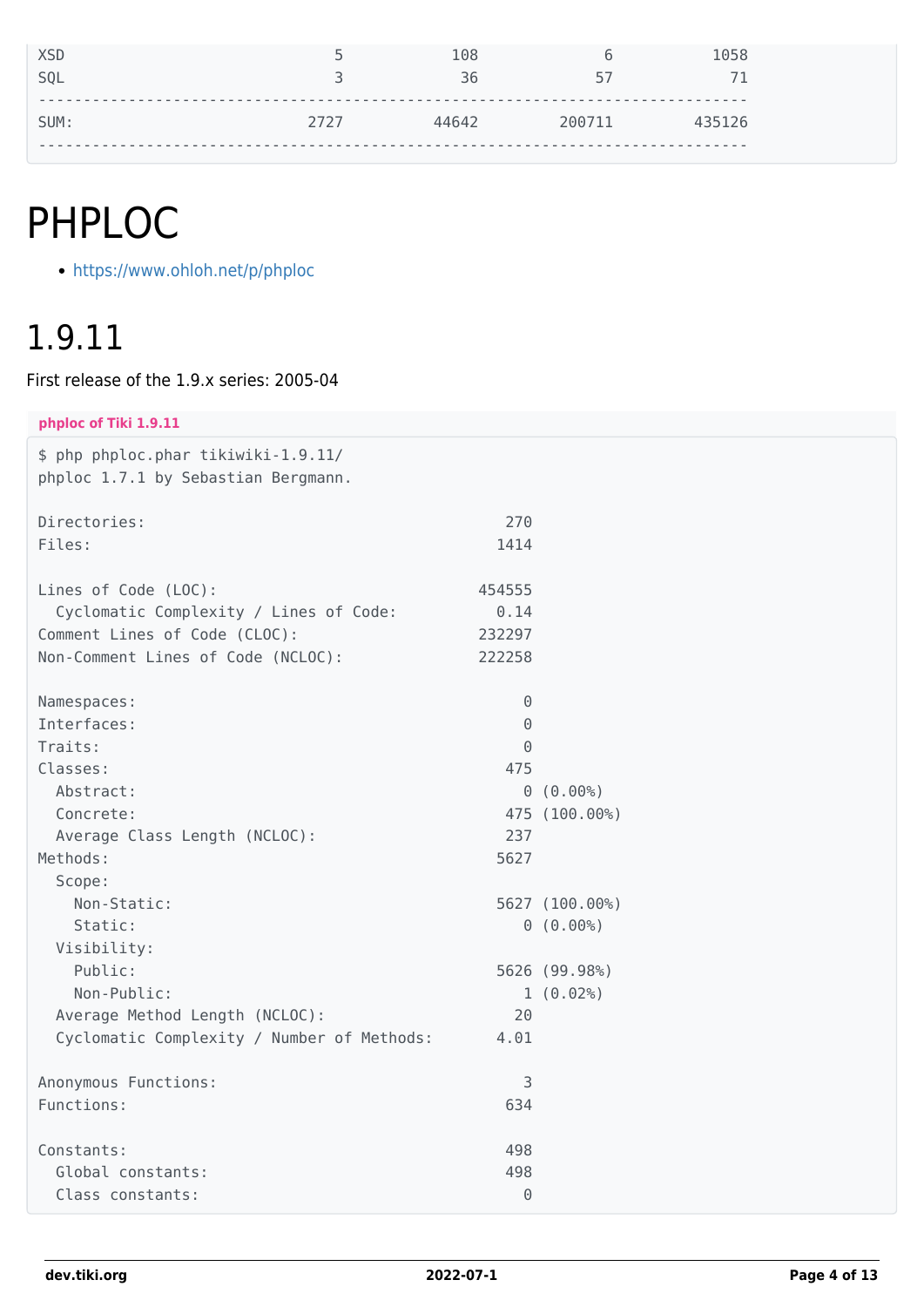# PHPLOC

<https://www.ohloh.net/p/phploc>

#### 1.9.11

First release of the 1.9.x series: 2005-04

| phploc of Tiki 1.9.11                                                      |          |                |
|----------------------------------------------------------------------------|----------|----------------|
| \$ php phploc.phar tikiwiki-1.9.11/<br>phploc 1.7.1 by Sebastian Bergmann. |          |                |
| Directories:                                                               | 270      |                |
| Files:                                                                     | 1414     |                |
| Lines of Code (LOC):                                                       | 454555   |                |
| Cyclomatic Complexity / Lines of Code:                                     | 0.14     |                |
| Comment Lines of Code (CLOC):                                              | 232297   |                |
| Non-Comment Lines of Code (NCLOC):                                         | 222258   |                |
| Namespaces:                                                                | $\Theta$ |                |
| Interfaces:                                                                | $\Theta$ |                |
| Traits:                                                                    | 0        |                |
| Classes:                                                                   | 475      |                |
| Abstract:                                                                  | $\Theta$ | (0.00%         |
| Concrete:                                                                  |          | 475 (100.00%)  |
| Average Class Length (NCLOC):                                              | 237      |                |
| Methods:                                                                   | 5627     |                |
| Scope:                                                                     |          |                |
| Non-Static:                                                                |          | 5627 (100.00%) |
| Static:                                                                    |          | 0(0.00%)       |
| Visibility:                                                                |          |                |
| Public:                                                                    |          | 5626 (99.98%)  |
| Non-Public:                                                                |          | 1(0.02%)       |
| Average Method Length (NCLOC):                                             | 20       |                |
| Cyclomatic Complexity / Number of Methods:                                 | 4.01     |                |
| Anonymous Functions:                                                       | 3        |                |
| Functions:                                                                 | 634      |                |
|                                                                            |          |                |

Constants: 498 Global constants: 498 Class constants: 0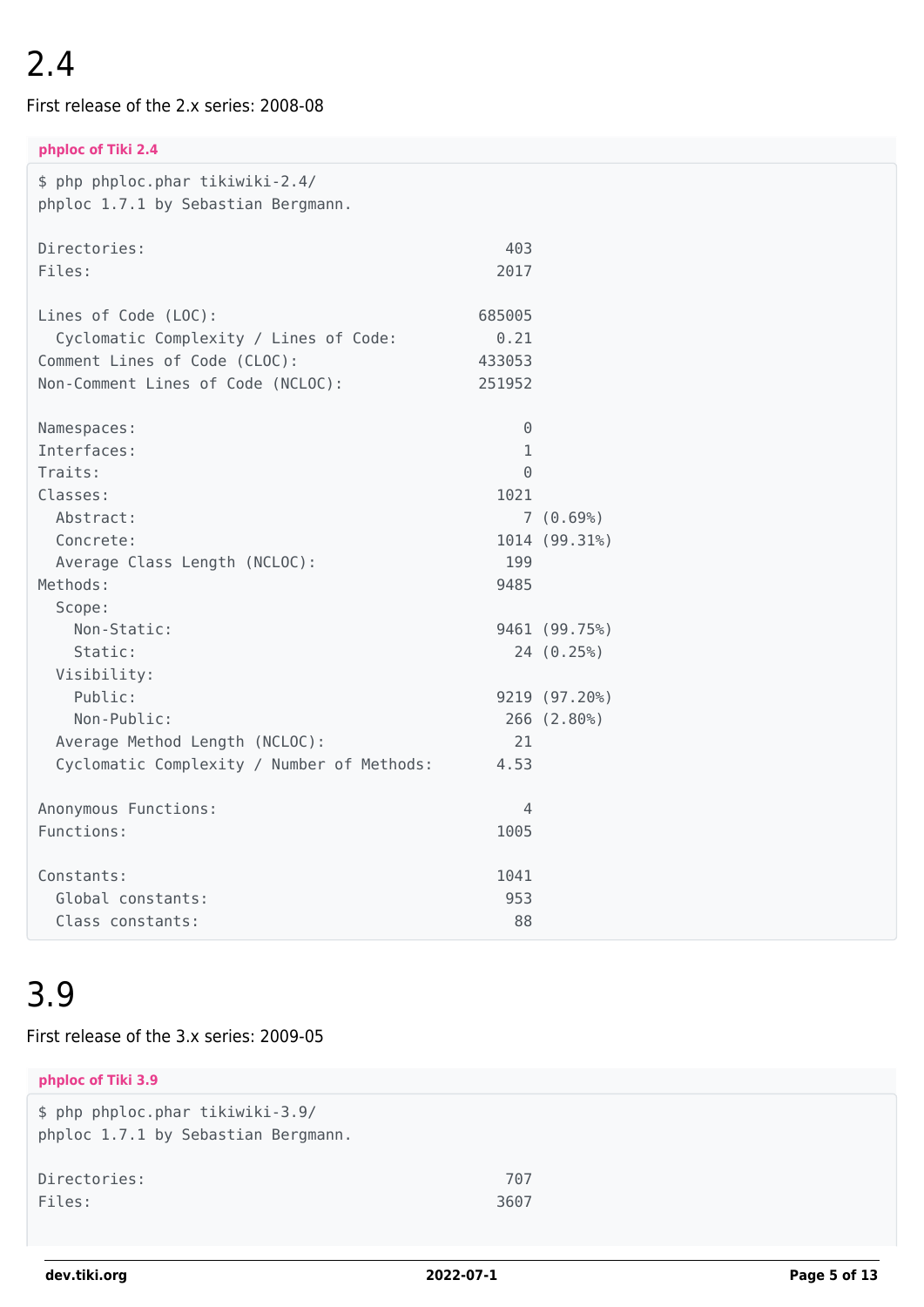First release of the 2.x series: 2008-08

**phploc of Tiki 2.4**

| \$ php phploc.phar tikiwiki-2.4/<br>phploc 1.7.1 by Sebastian Bergmann. |              |               |
|-------------------------------------------------------------------------|--------------|---------------|
| Directories:                                                            | 403          |               |
| Files:                                                                  | 2017         |               |
| Lines of Code (LOC):                                                    | 685005       |               |
| Cyclomatic Complexity / Lines of Code:                                  | 0.21         |               |
| Comment Lines of Code (CLOC):                                           | 433053       |               |
| Non-Comment Lines of Code (NCLOC):                                      | 251952       |               |
| Namespaces:                                                             | 0            |               |
| Interfaces:                                                             | $\mathbf{1}$ |               |
| Traits:                                                                 | $\Theta$     |               |
| Classes:                                                                | 1021         |               |
| Abstract:                                                               |              | 7(0.69%)      |
| Concrete:                                                               |              | 1014 (99.31%) |
| Average Class Length (NCLOC):                                           | 199          |               |
| Methods:                                                                | 9485         |               |
| Scope:                                                                  |              |               |
| Non-Static:                                                             |              | 9461 (99.75%) |
| Static:                                                                 |              | 24 (0.25%)    |
| Visibility:                                                             |              |               |
| Public:                                                                 |              | 9219 (97.20%) |
| Non-Public:                                                             |              | 266 (2.80%)   |
| Average Method Length (NCLOC):                                          | 21           |               |
| Cyclomatic Complexity / Number of Methods:                              | 4.53         |               |
| Anonymous Functions:                                                    | 4            |               |
| Functions:                                                              | 1005         |               |
| Constants:                                                              | 1041         |               |
| Global constants:                                                       | 953          |               |
| Class constants:                                                        | 88           |               |

#### 3.9

#### First release of the 3.x series: 2009-05

| phploc of Tiki 3.9                                                      |      |
|-------------------------------------------------------------------------|------|
| \$ php phploc.phar tikiwiki-3.9/<br>phploc 1.7.1 by Sebastian Bergmann. |      |
| Directories:                                                            | 707  |
| Files:                                                                  | 3607 |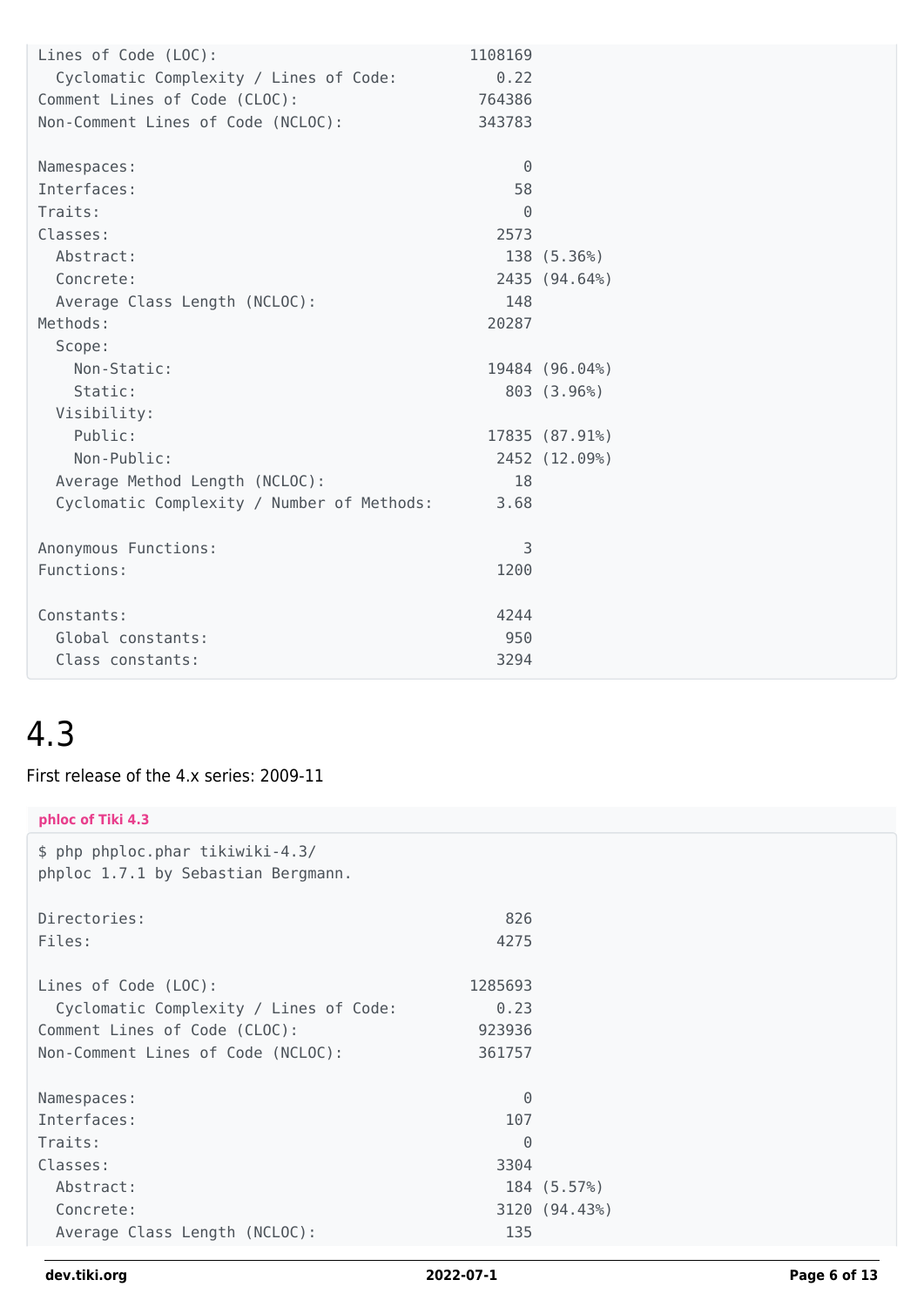| Lines of Code (LOC):                       | 1108169  |                |
|--------------------------------------------|----------|----------------|
| Cyclomatic Complexity / Lines of Code:     | 0.22     |                |
| Comment Lines of Code (CLOC):              | 764386   |                |
| Non-Comment Lines of Code (NCLOC):         | 343783   |                |
|                                            |          |                |
| Namespaces:                                | $\Theta$ |                |
| Interfaces:                                | 58       |                |
| Traits:                                    | $\Theta$ |                |
| Classes:                                   | 2573     |                |
| Abstract:                                  |          | 138 (5.36%)    |
| Concrete:                                  |          | 2435 (94.64%)  |
| Average Class Length (NCLOC):              | 148      |                |
| Methods:                                   | 20287    |                |
| Scope:                                     |          |                |
| Non-Static:                                |          | 19484 (96.04%) |
| Static:                                    |          | 803 (3.96%)    |
| Visibility:                                |          |                |
| Public:                                    |          | 17835 (87.91%) |
| Non-Public:                                |          | 2452 (12.09%)  |
| Average Method Length (NCLOC):             | 18       |                |
| Cyclomatic Complexity / Number of Methods: | 3.68     |                |
|                                            |          |                |
| Anonymous Functions:                       | 3        |                |
| Functions:                                 | 1200     |                |
|                                            |          |                |
| Constants:                                 | 4244     |                |
| Global constants:                          | 950      |                |
| Class constants:                           | 3294     |                |
|                                            |          |                |

First release of the 4.x series: 2009-11

| phloc of Tiki 4.3                                                       |          |               |
|-------------------------------------------------------------------------|----------|---------------|
| \$ php phploc.phar tikiwiki-4.3/<br>phploc 1.7.1 by Sebastian Bergmann. |          |               |
| Directories:                                                            | 826      |               |
| Files:                                                                  | 4275     |               |
| Lines of Code (LOC):                                                    | 1285693  |               |
| Cyclomatic Complexity / Lines of Code:                                  | 0.23     |               |
| Comment Lines of Code (CLOC):                                           | 923936   |               |
| Non-Comment Lines of Code (NCLOC):                                      | 361757   |               |
|                                                                         |          |               |
| Namespaces:                                                             | $\Theta$ |               |
| Interfaces:                                                             | 107      |               |
| Traits:                                                                 | $\Theta$ |               |
| Classes:                                                                | 3304     |               |
| Abstract:                                                               |          | 184 (5.57%)   |
| Concrete:                                                               |          | 3120 (94.43%) |
| Average Class Length (NCLOC):                                           | 135      |               |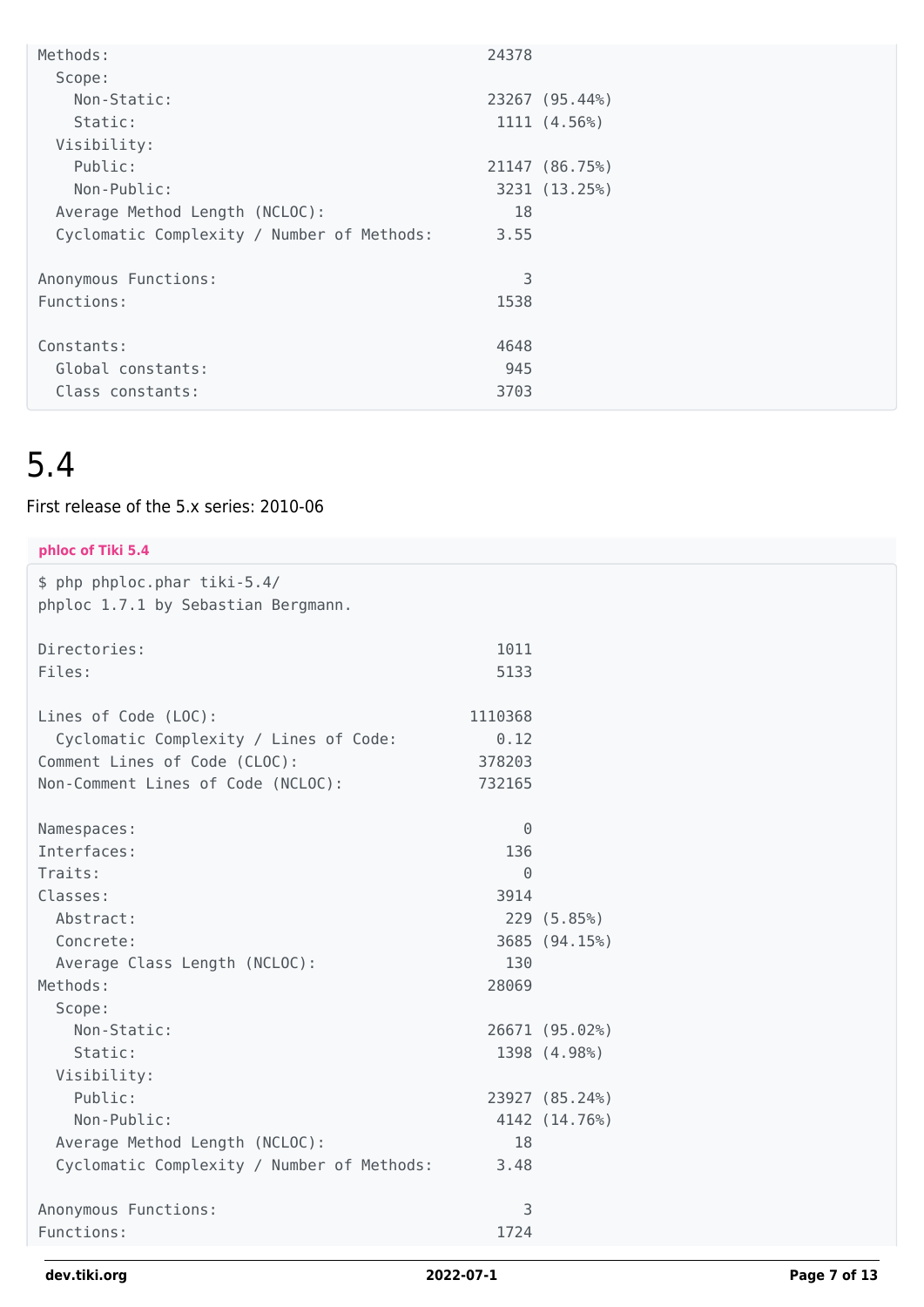| Methods:                                   | 24378          |
|--------------------------------------------|----------------|
| Scope:                                     |                |
| Non-Static:                                | 23267 (95.44%) |
| Static:                                    | 1111 (4.56%)   |
| Visibility:                                |                |
| Public:                                    | 21147 (86.75%) |
| Non-Public:                                | 3231 (13.25%)  |
| Average Method Length (NCLOC):             | 18             |
| Cyclomatic Complexity / Number of Methods: | 3.55           |
|                                            |                |
| Anonymous Functions:                       | 3              |
| Functions:                                 | 1538           |
|                                            |                |
| Constants:                                 | 4648           |
| Global constants:                          | 945            |
| Class constants:                           | 3703           |

#### First release of the 5.x series: 2010-06

| phloc of Tiki 5.4                                                   |          |                |
|---------------------------------------------------------------------|----------|----------------|
| \$ php phploc.phar tiki-5.4/<br>phploc 1.7.1 by Sebastian Bergmann. |          |                |
|                                                                     |          |                |
| Directories:                                                        | 1011     |                |
| Files:                                                              | 5133     |                |
| Lines of Code (LOC):                                                | 1110368  |                |
| Cyclomatic Complexity / Lines of Code:                              | 0.12     |                |
| Comment Lines of Code (CLOC):                                       | 378203   |                |
| Non-Comment Lines of Code (NCLOC):                                  | 732165   |                |
| Namespaces:                                                         | $\Theta$ |                |
| Interfaces:                                                         | 136      |                |
| Traits:                                                             | $\Theta$ |                |
| Classes:                                                            | 3914     |                |
| Abstract:                                                           |          | 229 (5.85%)    |
| Concrete:                                                           |          | 3685 (94.15%)  |
| Average Class Length (NCLOC):                                       | 130      |                |
| Methods:                                                            | 28069    |                |
| Scope:                                                              |          |                |
| Non-Static:                                                         |          | 26671 (95.02%) |
| Static:                                                             |          | 1398 (4.98%)   |
| Visibility:                                                         |          |                |
| Public:                                                             |          | 23927 (85.24%) |
| Non-Public:                                                         |          | 4142 (14.76%)  |
| Average Method Length (NCLOC):                                      | 18       |                |
| Cyclomatic Complexity / Number of Methods:                          | 3.48     |                |
| Anonymous Functions:                                                | 3        |                |
| Functions:                                                          | 1724     |                |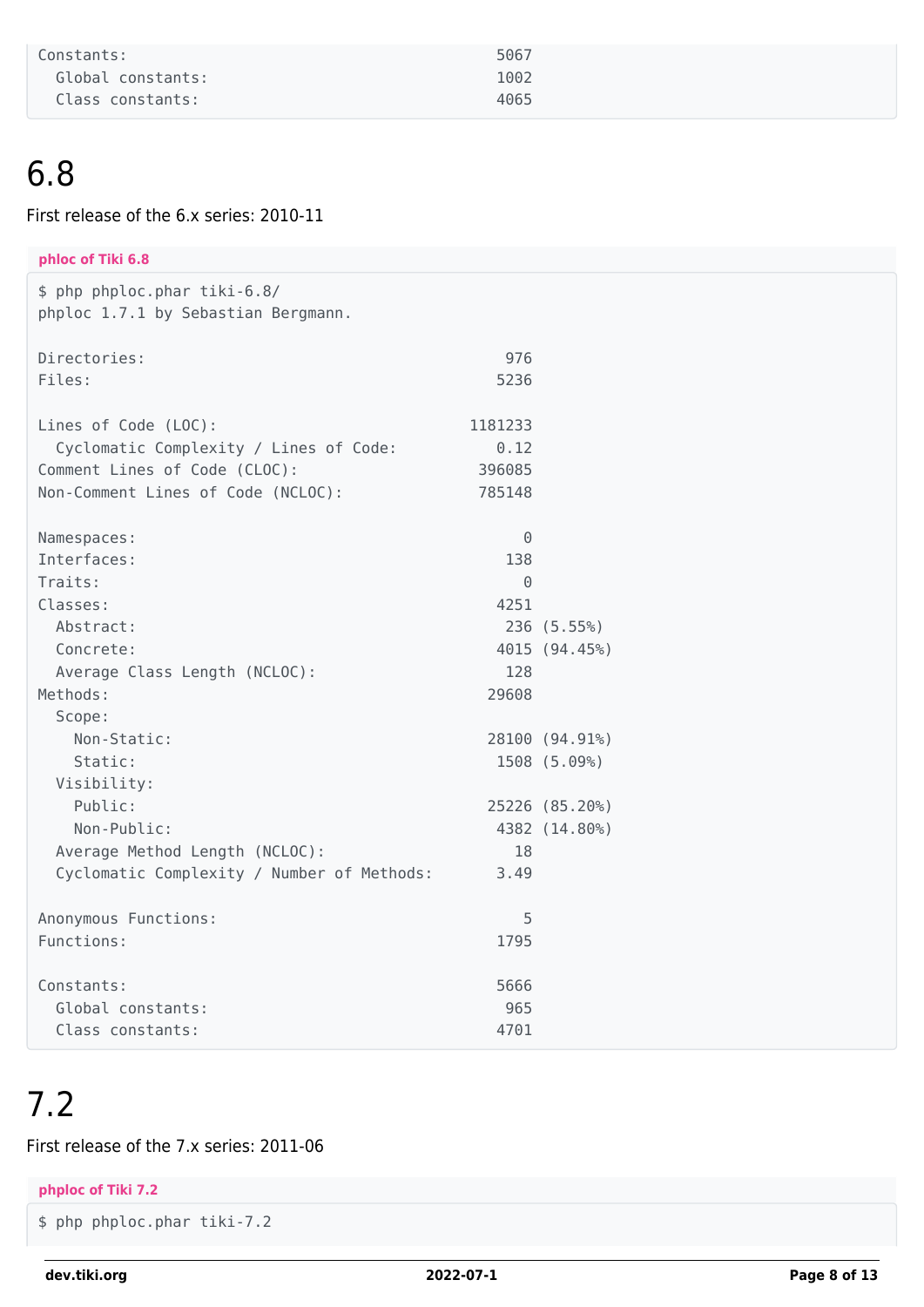| Constants:        | 5067 |
|-------------------|------|
| Global constants: | 1002 |
| Class constants:  | 4065 |

#### First release of the 6.x series: 2010-11

| phloc of Tiki 6.8                                                   |          |                |
|---------------------------------------------------------------------|----------|----------------|
| \$ php phploc.phar tiki-6.8/<br>phploc 1.7.1 by Sebastian Bergmann. |          |                |
|                                                                     |          |                |
| Directories:                                                        | 976      |                |
| Files:                                                              | 5236     |                |
|                                                                     |          |                |
| Lines of Code (LOC):                                                | 1181233  |                |
| Cyclomatic Complexity / Lines of Code:                              | 0.12     |                |
| Comment Lines of Code (CLOC):                                       | 396085   |                |
| Non-Comment Lines of Code (NCLOC):                                  | 785148   |                |
|                                                                     |          |                |
| Namespaces:                                                         | $\Theta$ |                |
| Interfaces:                                                         | 138      |                |
| Traits:                                                             | $\Theta$ |                |
| Classes:                                                            | 4251     |                |
| Abstract:                                                           |          | 236 (5.55%)    |
| Concrete:                                                           | 128      | 4015 (94.45%)  |
| Average Class Length (NCLOC):<br>Methods:                           | 29608    |                |
| Scope:                                                              |          |                |
| Non-Static:                                                         |          | 28100 (94.91%) |
| Static:                                                             |          | 1508 (5.09%)   |
| Visibility:                                                         |          |                |
| Public:                                                             |          | 25226 (85.20%) |
| Non-Public:                                                         |          | 4382 (14.80%)  |
| Average Method Length (NCLOC):                                      | 18       |                |
| Cyclomatic Complexity / Number of Methods:                          | 3.49     |                |
|                                                                     |          |                |
| Anonymous Functions:                                                | 5        |                |
| Functions:                                                          | 1795     |                |
| Constants:                                                          | 5666     |                |
| Global constants:                                                   | 965      |                |
| Class constants:                                                    | 4701     |                |

#### 7.2

#### First release of the 7.x series: 2011-06

#### **phploc of Tiki 7.2**

```
$ php phploc.phar tiki-7.2
```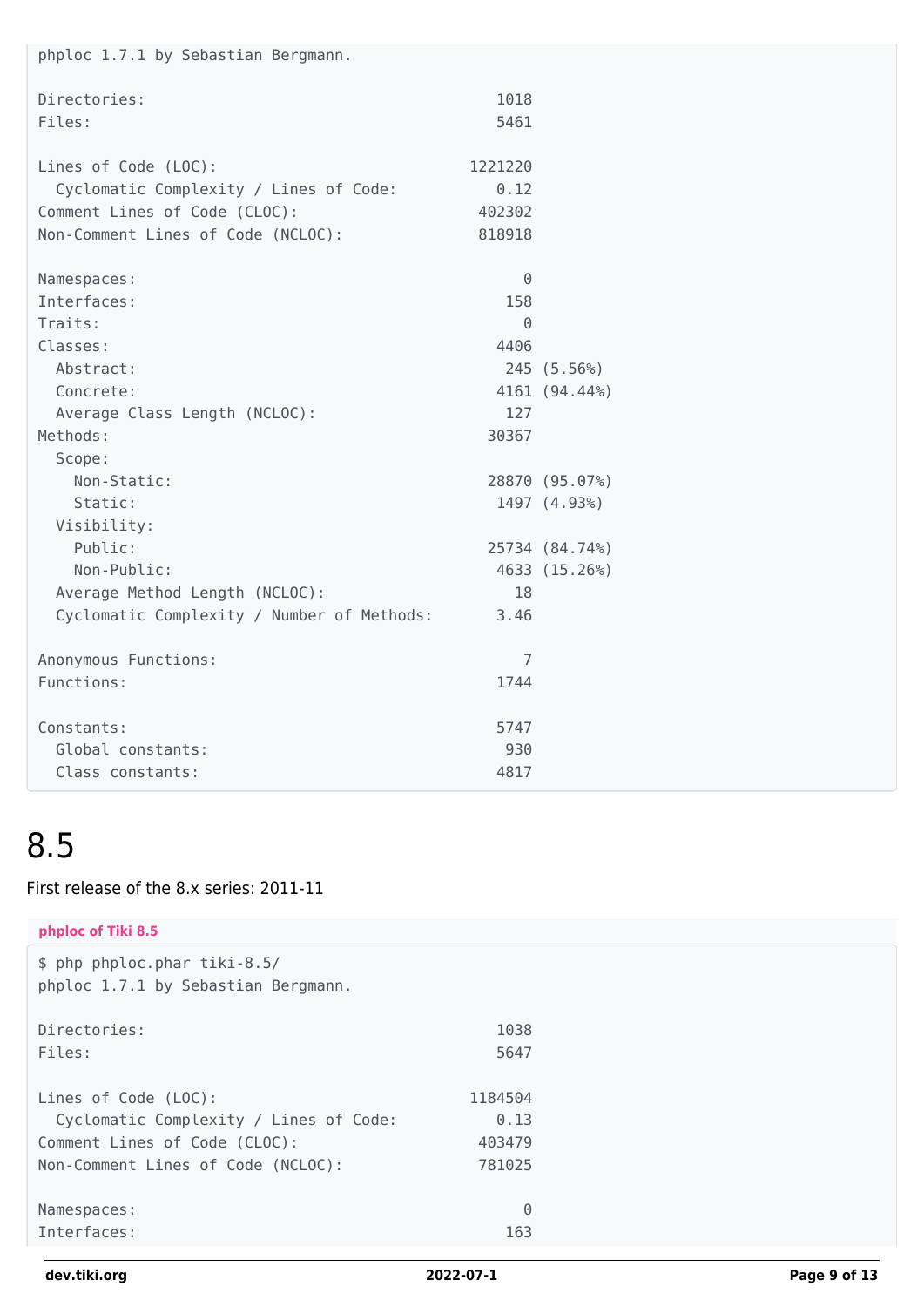| phploc 1.7.1 by Sebastian Bergmann.        |          |                |
|--------------------------------------------|----------|----------------|
| Directories:                               | 1018     |                |
| Files:                                     | 5461     |                |
| Lines of Code (LOC):                       | 1221220  |                |
| Cyclomatic Complexity / Lines of Code:     | 0.12     |                |
| Comment Lines of Code (CLOC):              | 402302   |                |
| Non-Comment Lines of Code (NCLOC):         | 818918   |                |
| Namespaces:                                | $\Theta$ |                |
| Interfaces:                                | 158      |                |
| Traits:                                    | $\Theta$ |                |
| Classes:                                   | 4406     |                |
| Abstract:                                  |          | 245 (5.56%)    |
| Concrete:                                  |          | 4161 (94.44%)  |
| Average Class Length (NCLOC):              | 127      |                |
| Methods:                                   | 30367    |                |
| Scope:                                     |          |                |
| Non-Static:                                |          | 28870 (95.07%) |
| Static:                                    |          | 1497 (4.93%)   |
| Visibility:                                |          |                |
| Public:                                    |          | 25734 (84.74%) |
| Non-Public:                                |          | 4633 (15.26%)  |
| Average Method Length (NCLOC):             | 18       |                |
| Cyclomatic Complexity / Number of Methods: | 3.46     |                |
| Anonymous Functions:                       | 7        |                |
| Functions:                                 | 1744     |                |
| Constants:                                 | 5747     |                |
| Global constants:                          | 930      |                |
| Class constants:                           | 4817     |                |

#### First release of the 8.x series: 2011-11

| phploc of Tiki 8.5                                                  |          |
|---------------------------------------------------------------------|----------|
| \$ php phploc.phar tiki-8.5/<br>phploc 1.7.1 by Sebastian Bergmann. |          |
| Directories:                                                        | 1038     |
| Files:                                                              | 5647     |
| Lines of Code (LOC):                                                | 1184504  |
| Cyclomatic Complexity / Lines of Code:                              | 0.13     |
| Comment Lines of Code (CLOC):                                       | 403479   |
| Non-Comment Lines of Code (NCLOC):                                  | 781025   |
| Namespaces:                                                         | $\Theta$ |
| Interfaces:                                                         | 163      |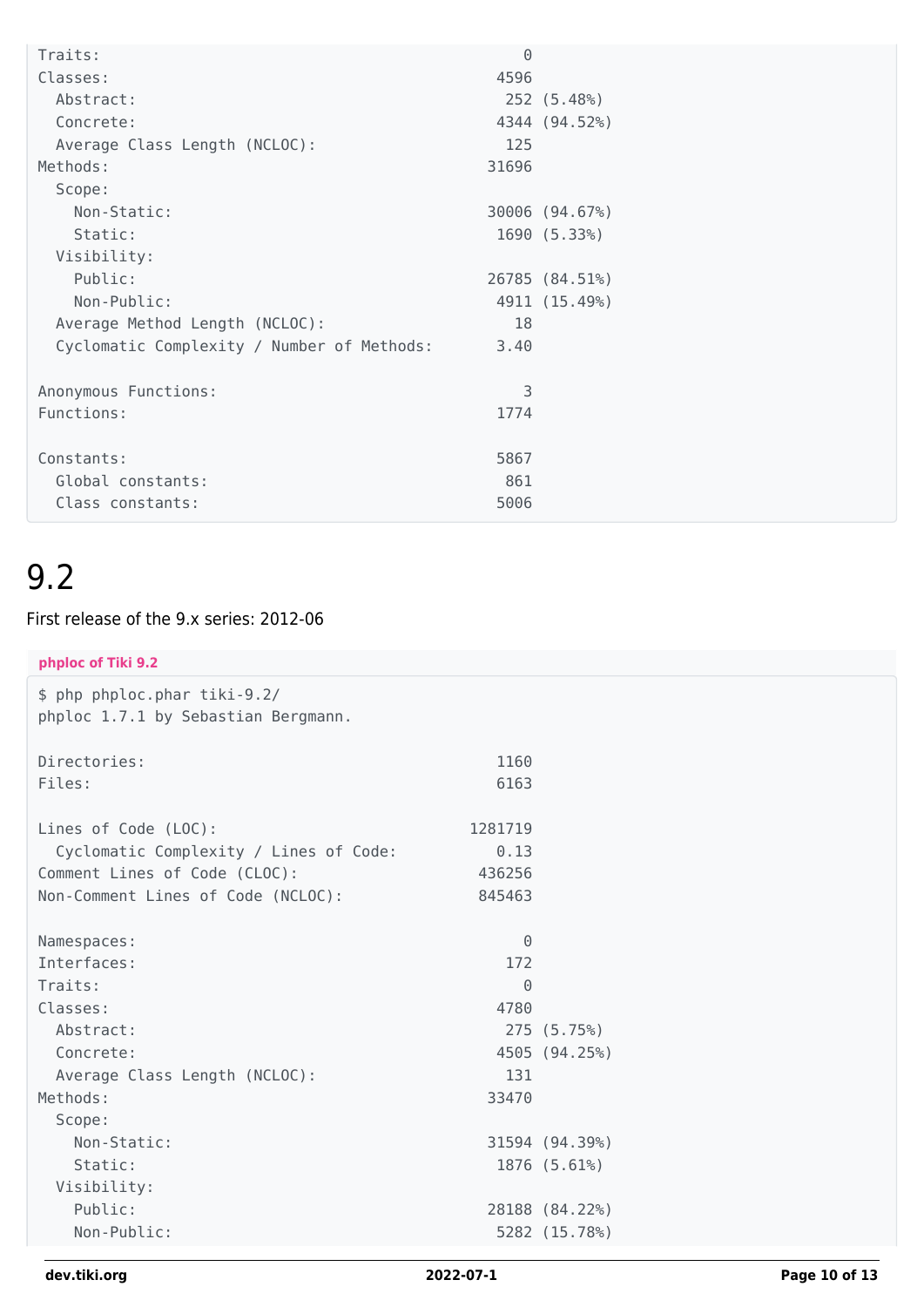| Traits:                                    | $\Theta$ |                |
|--------------------------------------------|----------|----------------|
|                                            |          |                |
| Classes:                                   | 4596     |                |
| Abstract:                                  |          | 252 (5.48%)    |
| Concrete:                                  |          | 4344 (94.52%)  |
| Average Class Length (NCLOC):              | 125      |                |
| Methods:                                   | 31696    |                |
| Scope:                                     |          |                |
| Non-Static:                                |          | 30006 (94.67%) |
| Static:                                    |          | 1690 (5.33%)   |
| Visibility:                                |          |                |
| Public:                                    |          | 26785 (84.51%) |
| Non-Public:                                |          | 4911 (15.49%)  |
| Average Method Length (NCLOC):             | 18       |                |
| Cyclomatic Complexity / Number of Methods: | 3.40     |                |
|                                            |          |                |
| Anonymous Functions:                       | 3        |                |
| Functions:                                 | 1774     |                |
|                                            |          |                |
| Constants:                                 | 5867     |                |
| Global constants:                          | 861      |                |
| Class constants:                           | 5006     |                |

#### First release of the 9.x series: 2012-06

| phploc of Tiki 9.2                     |          |                |
|----------------------------------------|----------|----------------|
| \$ php phploc.phar tiki-9.2/           |          |                |
| phploc 1.7.1 by Sebastian Bergmann.    |          |                |
|                                        |          |                |
| Directories:                           | 1160     |                |
| Files:                                 | 6163     |                |
|                                        |          |                |
| Lines of Code (LOC):                   | 1281719  |                |
| Cyclomatic Complexity / Lines of Code: | 0.13     |                |
| Comment Lines of Code (CLOC):          | 436256   |                |
| Non-Comment Lines of Code (NCLOC):     | 845463   |                |
|                                        |          |                |
| Namespaces:                            | $\Theta$ |                |
| Interfaces:                            | 172      |                |
| Traits:                                | $\Theta$ |                |
| Classes:                               | 4780     |                |
| Abstract:                              |          | 275 (5.75%)    |
| Concrete:                              |          | 4505 (94.25%)  |
| Average Class Length (NCLOC):          | 131      |                |
| Methods:                               | 33470    |                |
| Scope:                                 |          |                |
| Non-Static:                            |          | 31594 (94.39%) |
| Static:                                |          | 1876 (5.61%)   |
| Visibility:                            |          |                |
| Public:                                |          | 28188 (84.22%) |
| Non-Public:                            |          | 5282 (15.78%)  |
|                                        |          |                |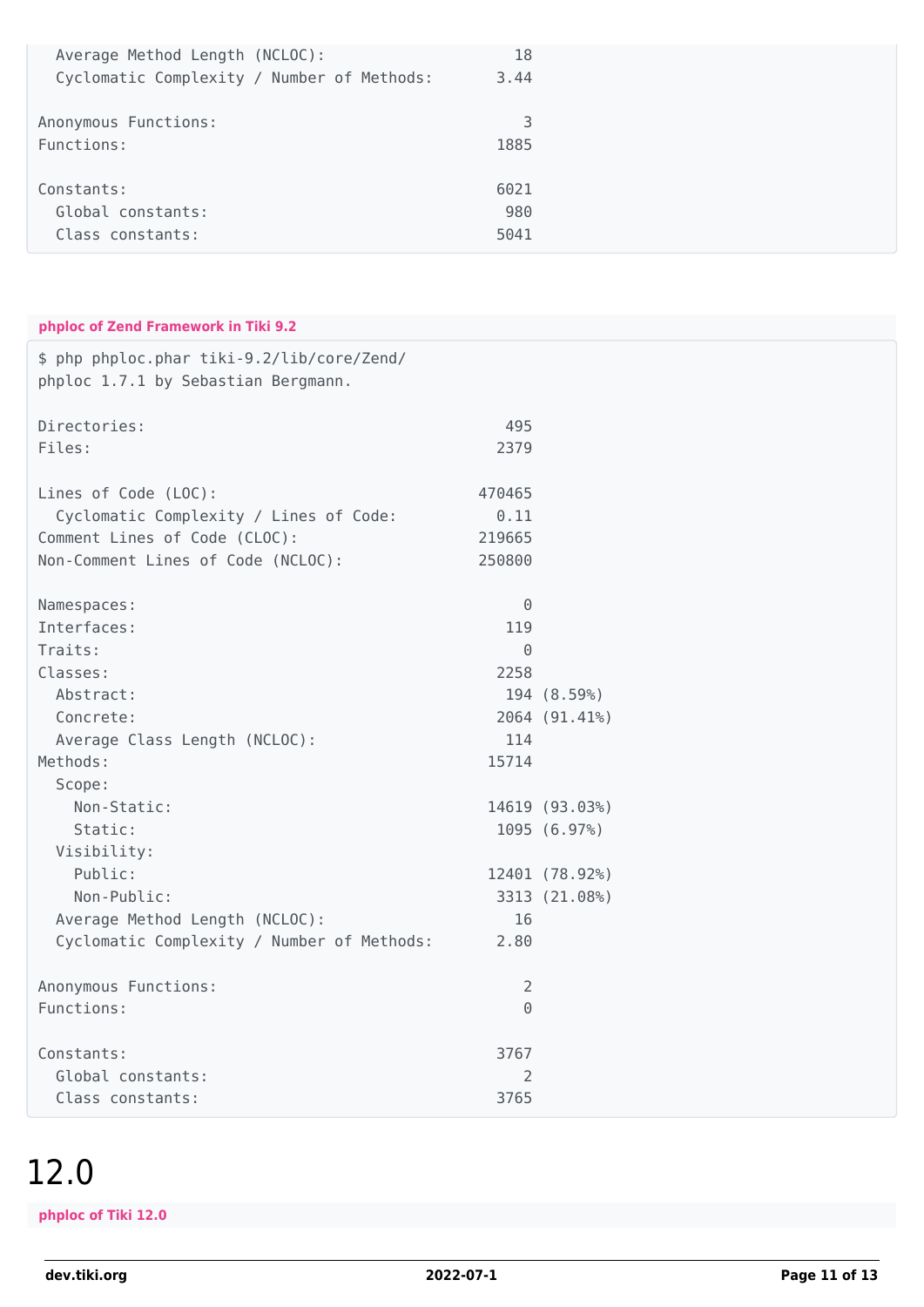| Average Method Length (NCLOC):             | 18   |
|--------------------------------------------|------|
| Cyclomatic Complexity / Number of Methods: | 3.44 |
| Anonymous Functions:                       | 3    |
| Functions:                                 | 1885 |
| Constants:                                 | 6021 |
| Global constants:                          | 980  |
| Class constants:                           | 5041 |

#### **phploc of Zend Framework in Tiki 9.2**

| \$ php phploc.phar tiki-9.2/lib/core/Zend/<br>phploc 1.7.1 by Sebastian Bergmann. |                |                |
|-----------------------------------------------------------------------------------|----------------|----------------|
| Directories:                                                                      | 495            |                |
| Files:                                                                            | 2379           |                |
| Lines of Code (LOC):                                                              | 470465         |                |
| Cyclomatic Complexity / Lines of Code:                                            | 0.11           |                |
| Comment Lines of Code (CLOC):                                                     | 219665         |                |
| Non-Comment Lines of Code (NCLOC):                                                | 250800         |                |
| Namespaces:                                                                       | $\Theta$       |                |
| Interfaces:                                                                       | 119            |                |
| Traits:                                                                           | $\Theta$       |                |
| Classes:                                                                          | 2258           |                |
| Abstract:                                                                         |                | 194 (8.59%)    |
| Concrete:                                                                         |                | 2064 (91.41%)  |
| Average Class Length (NCLOC):                                                     | 114            |                |
| Methods:                                                                          | 15714          |                |
| Scope:                                                                            |                |                |
| Non-Static:                                                                       |                | 14619 (93.03%) |
| Static:                                                                           |                | 1095 (6.97%)   |
| Visibility:                                                                       |                |                |
| Public:                                                                           |                | 12401 (78.92%) |
| Non-Public:                                                                       |                | 3313 (21.08%)  |
| Average Method Length (NCLOC):                                                    | 16             |                |
| Cyclomatic Complexity / Number of Methods:                                        | 2.80           |                |
| Anonymous Functions:                                                              | $\overline{2}$ |                |
| Functions:                                                                        | $\Theta$       |                |
| Constants:                                                                        | 3767           |                |
| Global constants:                                                                 | 2              |                |
| Class constants:                                                                  | 3765           |                |

#### 12.0

**phploc of Tiki 12.0**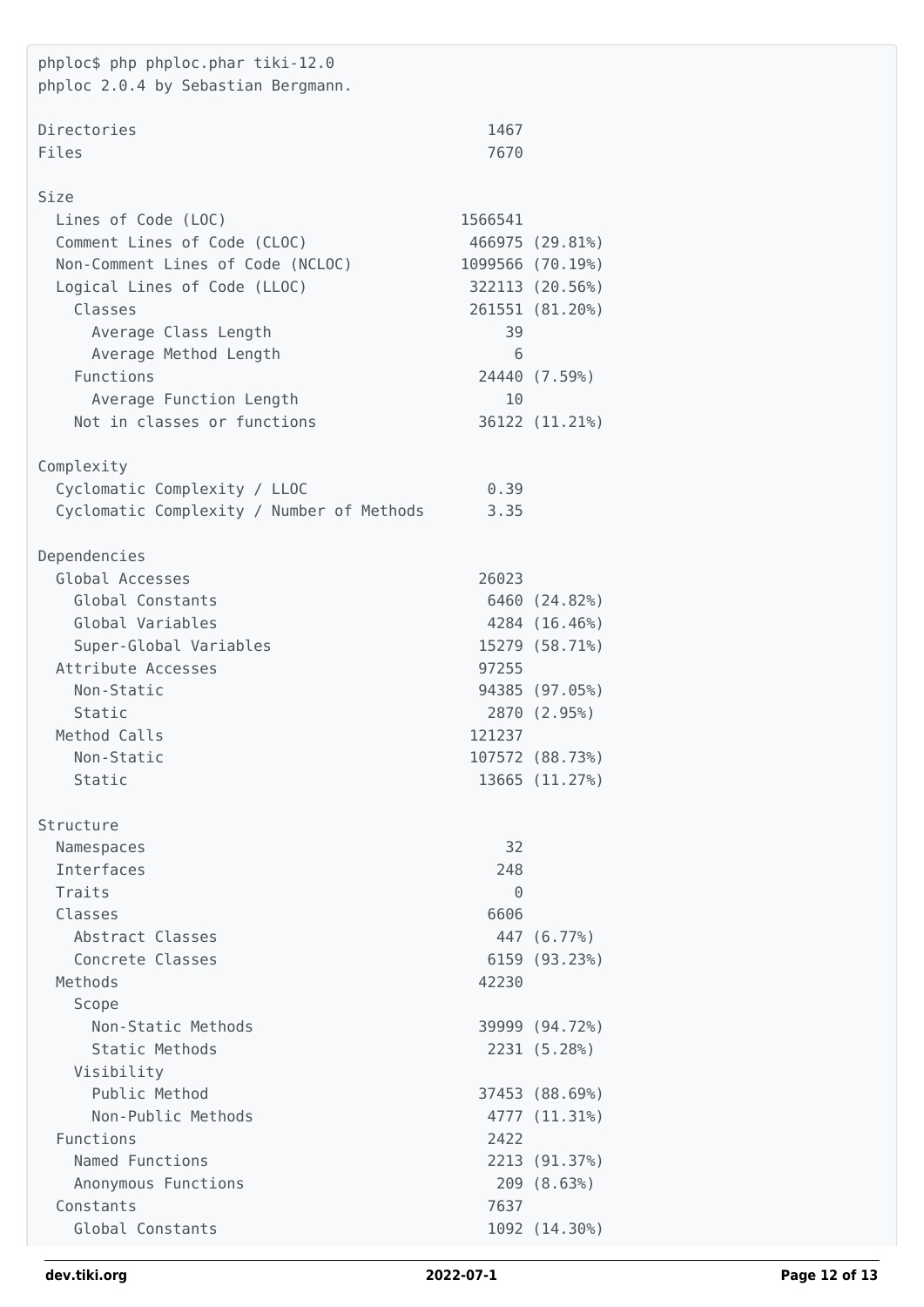| phploc\$ php phploc.phar tiki-12.0<br>phploc 2.0.4 by Sebastian Bergmann. |          |                                   |
|---------------------------------------------------------------------------|----------|-----------------------------------|
| Directories                                                               | 1467     |                                   |
| Files                                                                     | 7670     |                                   |
|                                                                           |          |                                   |
| Size                                                                      |          |                                   |
| Lines of Code (LOC)                                                       | 1566541  |                                   |
| Comment Lines of Code (CLOC)                                              |          | 466975 (29.81%)                   |
| Non-Comment Lines of Code (NCLOC)                                         |          | 1099566 (70.19%)                  |
| Logical Lines of Code (LLOC)                                              |          | 322113 (20.56%)                   |
| Classes                                                                   |          | 261551 (81.20%)                   |
| Average Class Length                                                      | 39       |                                   |
| Average Method Length                                                     | 6        |                                   |
| Functions                                                                 |          | 24440 (7.59%)                     |
| Average Function Length                                                   | 10       |                                   |
| Not in classes or functions                                               |          | 36122 (11.21%)                    |
| Complexity                                                                |          |                                   |
| Cyclomatic Complexity / LLOC                                              | 0.39     |                                   |
| Cyclomatic Complexity / Number of Methods                                 | 3.35     |                                   |
|                                                                           |          |                                   |
| Dependencies                                                              |          |                                   |
| Global Accesses                                                           | 26023    |                                   |
| Global Constants                                                          |          | 6460 (24.82%)                     |
| Global Variables                                                          |          | 4284 (16.46%)                     |
| Super-Global Variables                                                    |          | 15279 (58.71%)                    |
| Attribute Accesses                                                        | 97255    |                                   |
| Non-Static                                                                |          | 94385 (97.05%)                    |
| Static                                                                    |          | 2870 (2.95%)                      |
| Method Calls                                                              | 121237   |                                   |
| Non-Static<br>Static                                                      |          | 107572 (88.73%)<br>13665 (11.27%) |
|                                                                           |          |                                   |
| Structure                                                                 |          |                                   |
| Namespaces                                                                | 32       |                                   |
| Interfaces                                                                | 248      |                                   |
| Traits                                                                    | $\Theta$ |                                   |
| Classes                                                                   | 6606     |                                   |
| Abstract Classes                                                          |          | 447 (6.77%)                       |
| Concrete Classes                                                          |          | 6159 (93.23%)                     |
| Methods                                                                   | 42230    |                                   |
| Scope                                                                     |          |                                   |
| Non-Static Methods                                                        |          | 39999 (94.72%)                    |
| Static Methods                                                            |          | 2231 (5.28%)                      |
| Visibility<br>Public Method                                               |          | 37453 (88.69%)                    |
| Non-Public Methods                                                        |          | 4777 (11.31%)                     |
| Functions                                                                 | 2422     |                                   |
| Named Functions                                                           |          | 2213 (91.37%)                     |
| Anonymous Functions                                                       |          | 209 (8.63%)                       |
| Constants                                                                 | 7637     |                                   |
| Global Constants                                                          |          | 1092 (14.30%)                     |